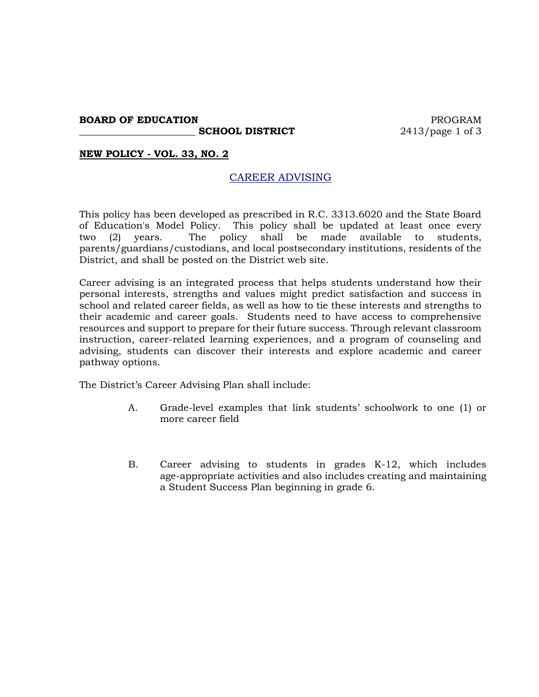#### **BOARD OF EDUCATION PROGRAM**

**SCHOOL DISTRICT** 2413/page 1 of 3

## **NEW POLICY - VOL. 33, NO. 2**

# CAREER ADVISING

This policy has been developed as prescribed in R.C. 3313.6020 and the State Board of Education's Model Policy. This policy shall be updated at least once every two (2) years. The policy shall be made available to students, parents/guardians/custodians, and local postsecondary institutions, residents of the District, and shall be posted on the District web site.

Career advising is an integrated process that helps students understand how their personal interests, strengths and values might predict satisfaction and success in school and related career fields, as well as how to tie these interests and strengths to their academic and career goals. Students need to have access to comprehensive resources and support to prepare for their future success. Through relevant classroom instruction, career-related learning experiences, and a program of counseling and advising, students can discover their interests and explore academic and career pathway options.

The District's Career Advising Plan shall include:

- A. Grade-level examples that link students' schoolwork to one (1) or more career field
- B. Career advising to students in grades K-12, which includes age-appropriate activities and also includes creating and maintaining a Student Success Plan beginning in grade 6.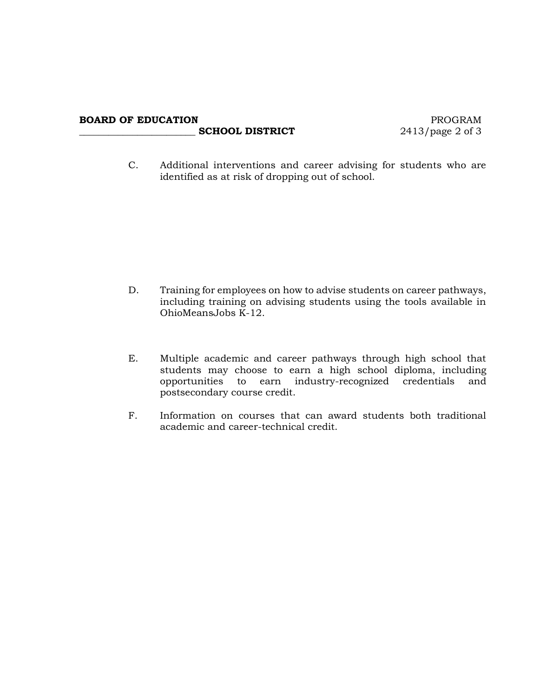## **BOARD OF EDUCATION** PROGRAM **\_\_\_\_\_\_\_\_\_\_\_\_\_\_\_\_\_\_\_\_\_\_\_\_ SCHOOL DISTRICT** 2413/page 2 of 3

C. Additional interventions and career advising for students who are identified as at risk of dropping out of school.

- D. Training for employees on how to advise students on career pathways, including training on advising students using the tools available in OhioMeansJobs K-12.
- E. Multiple academic and career pathways through high school that students may choose to earn a high school diploma, including opportunities to earn industry-recognized credentials and postsecondary course credit.
- F. Information on courses that can award students both traditional academic and career-technical credit.